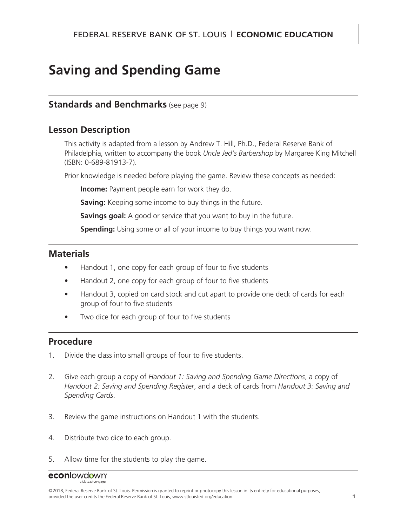# **Saving and Spending Game**

#### **Standards and Benchmarks** (see page 9)

#### **Lesson Description**

This activity is adapted from a lesson by Andrew T. Hill, Ph.D., Federal Reserve Bank of Philadelphia, written to accompany the book *Uncle Jed's Barbershop* by Margaree King Mitchell (ISBN: 0-689-81913-7).

Prior knowledge is needed before playing the game. Review these concepts as needed:

**Income:** Payment people earn for work they do.

**Saving:** Keeping some income to buy things in the future.

**Savings goal:** A good or service that you want to buy in the future.

**Spending:** Using some or all of your income to buy things you want now.

## **Materials**

- Handout 1, one copy for each group of four to five students
- Handout 2, one copy for each group of four to five students
- Handout 3, copied on card stock and cut apart to provide one deck of cards for each group of four to five students
- Two dice for each group of four to five students

## **Procedure**

- 1. Divide the class into small groups of four to five students.
- 2. Give each group a copy of *Handout 1: Saving and Spending Game Directions*, a copy of *Handout 2: Saving and Spending Register*, and a deck of cards from *Handout 3: Saving and Spending Cards*.
- 3. Review the game instructions on Handout 1 with the students.
- 4. Distribute two dice to each group.
- 5. Allow time for the students to play the game.

## econlowdown<sup>®</sup>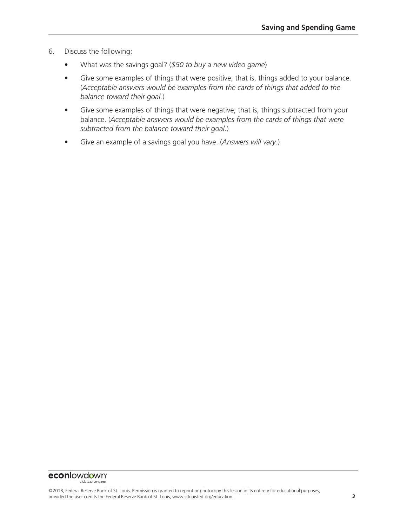- 6. Discuss the following:
	- What was the savings goal? (*\$50 to buy a new video game*)
	- Give some examples of things that were positive; that is, things added to your balance. (*Acceptable answers would be examples from the cards of things that added to the balance toward their goal.*)
	- Give some examples of things that were negative; that is, things subtracted from your balance. (*Acceptable answers would be examples from the cards of things that were subtracted from the balance toward their goal.*)
	- Give an example of a savings goal you have. (*Answers will vary.*)

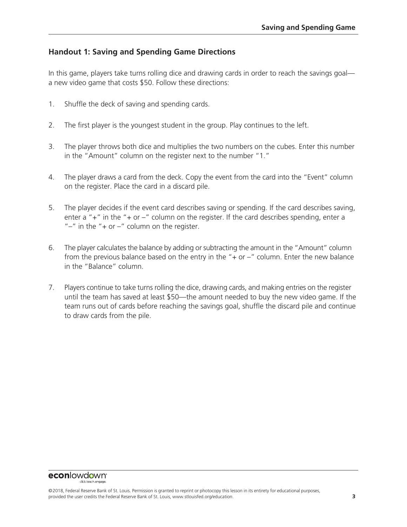#### **Handout 1: Saving and Spending Game Directions**

In this game, players take turns rolling dice and drawing cards in order to reach the savings goal a new video game that costs \$50. Follow these directions:

- 1. Shuffle the deck of saving and spending cards.
- 2. The first player is the youngest student in the group. Play continues to the left.
- 3. The player throws both dice and multiplies the two numbers on the cubes. Enter this number in the "Amount" column on the register next to the number "1."
- 4. The player draws a card from the deck. Copy the event from the card into the "Event" column on the register. Place the card in a discard pile.
- 5. The player decides if the event card describes saving or spending. If the card describes saving, enter a " $+$ " in the " $+$  or  $-$ " column on the register. If the card describes spending, enter a " $-$ " in the " $+$  or  $-$ " column on the register.
- 6. The player calculates the balance by adding or subtracting the amount in the "Amount" column from the previous balance based on the entry in the " $+$  or  $-$ " column. Enter the new balance in the "Balance" column.
- 7. Players continue to take turns rolling the dice, drawing cards, and making entries on the register until the team has saved at least \$50—the amount needed to buy the new video game. If the team runs out of cards before reaching the savings goal, shuffle the discard pile and continue to draw cards from the pile.

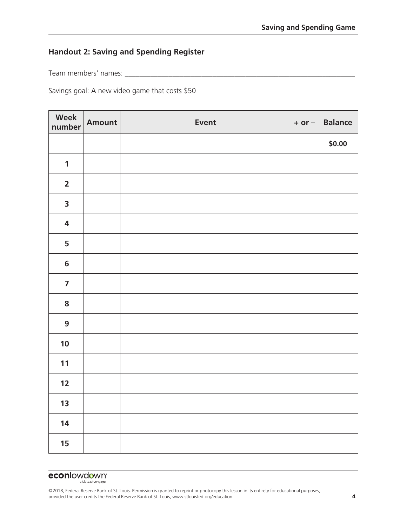#### **Handout 2: Saving and Spending Register**

Team members' names: \_\_\_\_\_\_\_\_\_\_\_\_\_\_\_\_\_\_\_\_\_\_\_\_\_\_\_\_\_\_\_\_\_\_\_\_\_\_\_\_\_\_\_\_\_\_\_\_\_\_\_\_\_\_\_\_\_\_\_\_\_\_\_

Savings goal: A new video game that costs \$50

| Week<br>number          | <b>Amount</b> | <b>Event</b> | $+$ or $-$ | <b>Balance</b> |
|-------------------------|---------------|--------------|------------|----------------|
|                         |               |              |            | \$0.00         |
| $\mathbf{1}$            |               |              |            |                |
| $\overline{\mathbf{2}}$ |               |              |            |                |
| $\overline{\mathbf{3}}$ |               |              |            |                |
| $\overline{\mathbf{4}}$ |               |              |            |                |
| 5                       |               |              |            |                |
| $\boldsymbol{6}$        |               |              |            |                |
| $\overline{\mathbf{z}}$ |               |              |            |                |
| ${\bf 8}$               |               |              |            |                |
| $\boldsymbol{9}$        |               |              |            |                |
| 10                      |               |              |            |                |
| 11                      |               |              |            |                |
| 12                      |               |              |            |                |
| 13                      |               |              |            |                |
| 14                      |               |              |            |                |
| 15                      |               |              |            |                |

## **econlowdown**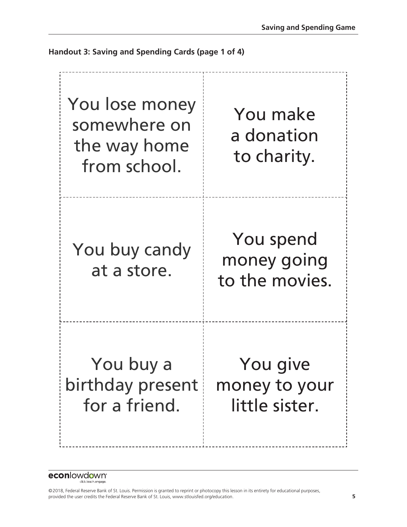**Handout 3: Saving and Spending Cards (page 1 of 4)**



**econlowdown**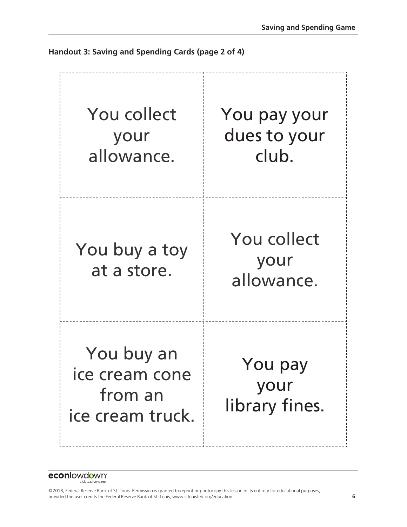

**Handout 3: Saving and Spending Cards (page 2 of 4)**

**econlowdown**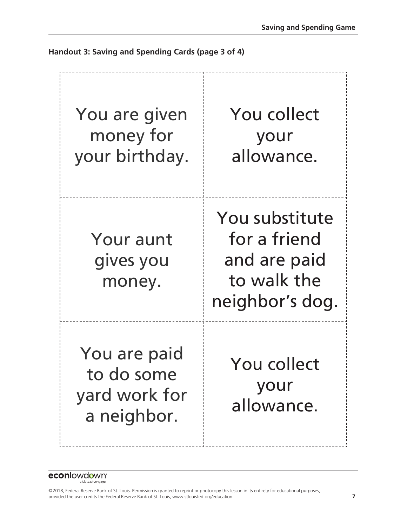Your aunt gives you money. You are paid to do some yard work for a neighbor. You collect your allowance. You substitute for a friend and are paid to walk the neighbor's dog. You collect your allowance. You are given money for your birthday.

**Handout 3: Saving and Spending Cards (page 3 of 4)**

econlowdown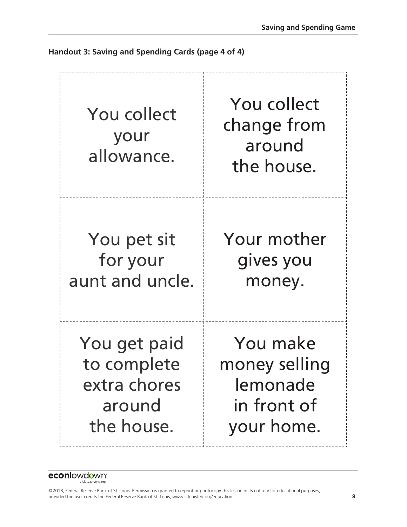You pet sit for your aunt and uncle. You get paid to complete extra chores around the house. You collect change from around the house. Your mother gives you money. You make money selling lemonade in front of your home. You collect your allowance.

**Handout 3: Saving and Spending Cards (page 4 of 4)**

econlowdown<sup>®</sup>